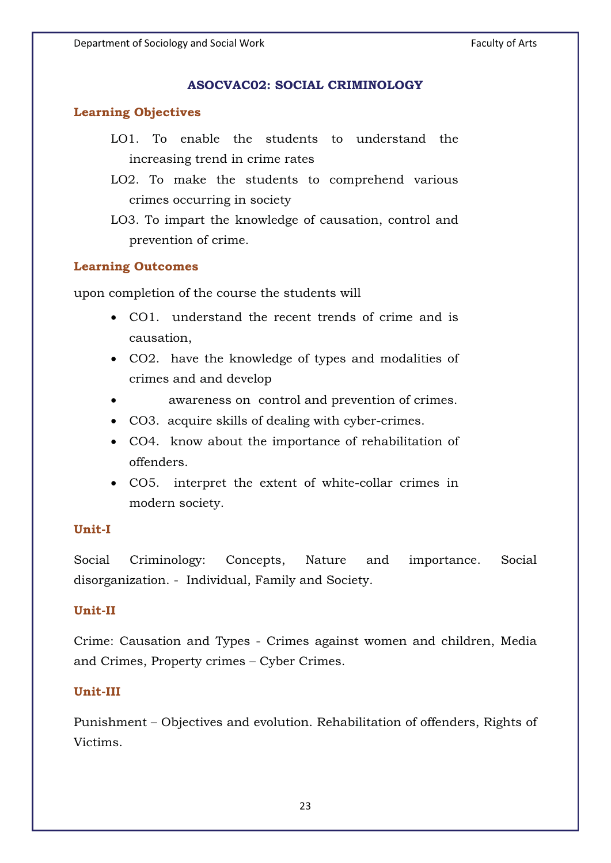### **ASOCVAC02: SOCIAL CRIMINOLOGY ASOCVAC02: SOCIAL CRIMINOLOGY**

### **Learning Objectives**

- LO1. To enable the students to understand the increasing trend in crime rates
- LO2. To make the students to comprehend various crimes occurring in society

### **Learning Outcomes**

upon completion of the course the students will

- CO1. understand the recent trends of crime and is causation,
- CO2. have the knowledge of types and modalities of crimes and and develop
- $\bullet$ awareness on control and prevention of crimes.
- CO3. acquire skills of dealing with cyber-crimes.
- CO4. know about the importance of rehabilitation of offenders.
- CO5. interpret the extent of white-collar crimes in modern society.

### Unit-I

Social Criminology: Concepts, Nature and importance. Social disorganization. - Individual, Family and Society.

### Unit-II

Crime: Causation and Types - Crimes against women and children, Media and Crimes, Property crimes – Cyber Crimes.

### **Unit-III**

Punishment – Objectives and evolution. Rehabilitation of offenders, Rights of Victims.

LO3. To impart the knowledge of causation, control and prevention of crime.